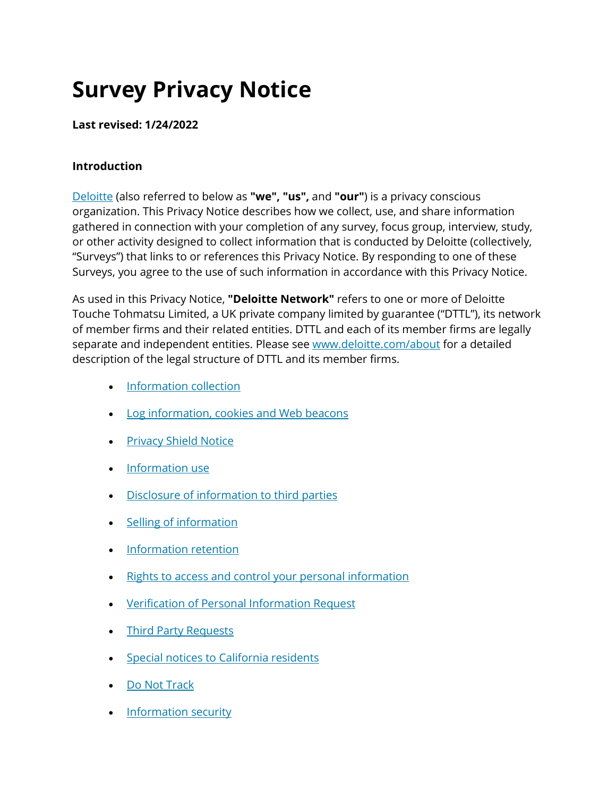# **Survey Privacy Notice**

## **Last revised: 1/24/2022**

## **Introduction**

[Deloitte](https://preview2.deloitte.com/us/en/pages/about-deloitte/articles/about-deloitte.html) (also referred to below as **"we", "us",** and **"our"**) is a privacy conscious organization. This Privacy Notice describes how we collect, use, and share information gathered in connection with your completion of any survey, focus group, interview, study, or other activity designed to collect information that is conducted by Deloitte (collectively, "Surveys") that links to or references this Privacy Notice. By responding to one of these Surveys, you agree to the use of such information in accordance with this Privacy Notice.

As used in this Privacy Notice, **"Deloitte Network"** refers to one or more of Deloitte Touche Tohmatsu Limited, a UK private company limited by guarantee ("DTTL"), its network of member firms and their related entities. DTTL and each of its member firms are legally separate and independent entities. Please see [www.deloitte.com/about](https://preview2.deloitte.com/content/www/us/about) for a detailed description of the legal structure of DTTL and its member firms.

- [Information collection](https://preview2.deloitte.com/us/en/legal/survey-privacy-notice.html#info)
- [Log information, cookies and Web beacons](https://preview2.deloitte.com/us/en/legal/survey-privacy-notice.html#log)
- [Privacy Shield Notice](https://preview2.deloitte.com/us/en/legal/survey-privacy-notice.html#privacy)
- [Information use](https://preview2.deloitte.com/us/en/legal/survey-privacy-notice.html#information)
- [Disclosure of information to third parties](https://preview2.deloitte.com/us/en/legal/survey-privacy-notice.html#disc)
- [Selling of information](https://preview2.deloitte.com/us/en/legal/survey-privacy-notice.html#selling)
- [Information retention](https://preview2.deloitte.com/us/en/legal/survey-privacy-notice.html#retension)
- [Rights to access and control your personal information](https://preview2.deloitte.com/us/en/legal/survey-privacy-notice.html#right)
- [Verification of Personal Information Request](https://preview2.deloitte.com/us/en/legal/survey-privacy-notice.html#vpir)
- [Third Party Requests](https://preview2.deloitte.com/us/en/legal/survey-privacy-notice.html#tprn)
- [Special notices to California residents](https://preview2.deloitte.com/us/en/legal/survey-privacy-notice.html#special)
- [Do Not Track](https://preview2.deloitte.com/us/en/legal/survey-privacy-notice.html#do)
- [Information security](https://preview2.deloitte.com/us/en/legal/survey-privacy-notice.html#security)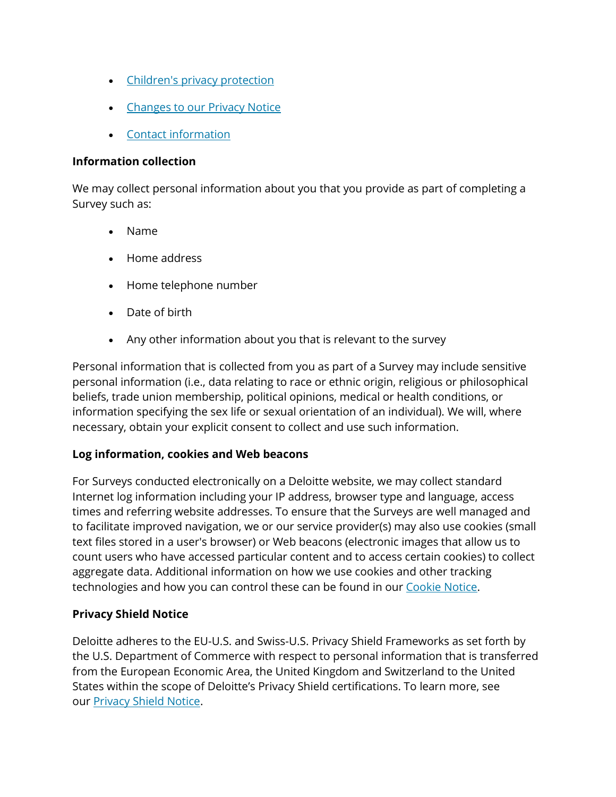- [Children's privacy protection](https://preview2.deloitte.com/us/en/legal/survey-privacy-notice.html#children)
- [Changes to our Privacy Notice](https://preview2.deloitte.com/us/en/legal/survey-privacy-notice.html#changes)
- [Contact information](https://preview2.deloitte.com/us/en/legal/survey-privacy-notice.html#contact)

#### **Information collection**

We may collect personal information about you that you provide as part of completing a Survey such as:

- Name
- Home address
- Home telephone number
- Date of birth
- Any other information about you that is relevant to the survey

Personal information that is collected from you as part of a Survey may include sensitive personal information (i.e., data relating to race or ethnic origin, religious or philosophical beliefs, trade union membership, political opinions, medical or health conditions, or information specifying the sex life or sexual orientation of an individual). We will, where necessary, obtain your explicit consent to collect and use such information.

#### **Log information, cookies and Web beacons**

For Surveys conducted electronically on a Deloitte website, we may collect standard Internet log information including your IP address, browser type and language, access times and referring website addresses. To ensure that the Surveys are well managed and to facilitate improved navigation, we or our service provider(s) may also use cookies (small text files stored in a user's browser) or Web beacons (electronic images that allow us to count users who have accessed particular content and to access certain cookies) to collect aggregate data. Additional information on how we use cookies and other tracking technologies and how you can control these can be found in our [Cookie Notice.](https://preview2.deloitte.com/us/en/legal/cookies.html)

#### **Privacy Shield Notice**

Deloitte adheres to the EU-U.S. and Swiss-U.S. Privacy Shield Frameworks as set forth by the U.S. Department of Commerce with respect to personal information that is transferred from the European Economic Area, the United Kingdom and Switzerland to the United States within the scope of Deloitte's Privacy Shield certifications. To learn more, see our [Privacy Shield Notice.](https://preview2.deloitte.com/us/en/legal/privacy-shield.html)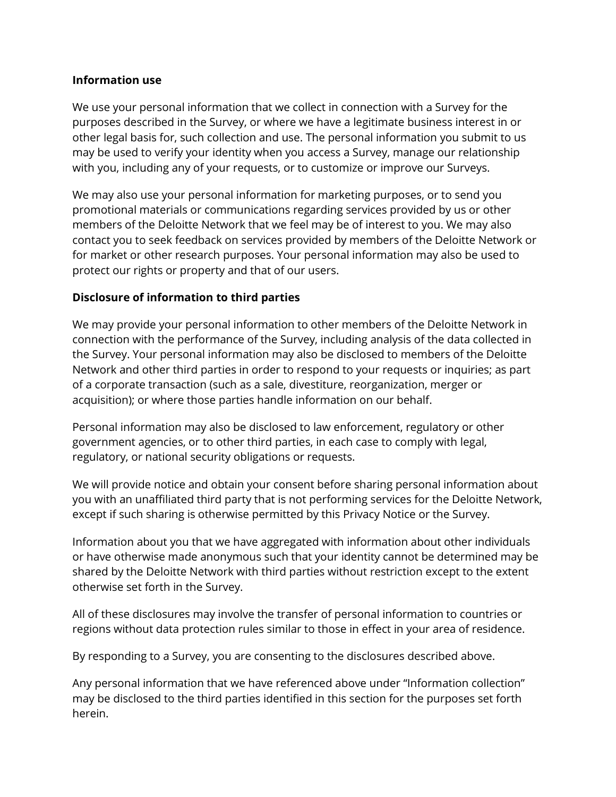#### **Information use**

We use your personal information that we collect in connection with a Survey for the purposes described in the Survey, or where we have a legitimate business interest in or other legal basis for, such collection and use. The personal information you submit to us may be used to verify your identity when you access a Survey, manage our relationship with you, including any of your requests, or to customize or improve our Surveys.

We may also use your personal information for marketing purposes, or to send you promotional materials or communications regarding services provided by us or other members of the Deloitte Network that we feel may be of interest to you. We may also contact you to seek feedback on services provided by members of the Deloitte Network or for market or other research purposes. Your personal information may also be used to protect our rights or property and that of our users.

# **Disclosure of information to third parties**

We may provide your personal information to other members of the Deloitte Network in connection with the performance of the Survey, including analysis of the data collected in the Survey. Your personal information may also be disclosed to members of the Deloitte Network and other third parties in order to respond to your requests or inquiries; as part of a corporate transaction (such as a sale, divestiture, reorganization, merger or acquisition); or where those parties handle information on our behalf.

Personal information may also be disclosed to law enforcement, regulatory or other government agencies, or to other third parties, in each case to comply with legal, regulatory, or national security obligations or requests.

We will provide notice and obtain your consent before sharing personal information about you with an unaffiliated third party that is not performing services for the Deloitte Network, except if such sharing is otherwise permitted by this Privacy Notice or the Survey.

Information about you that we have aggregated with information about other individuals or have otherwise made anonymous such that your identity cannot be determined may be shared by the Deloitte Network with third parties without restriction except to the extent otherwise set forth in the Survey.

All of these disclosures may involve the transfer of personal information to countries or regions without data protection rules similar to those in effect in your area of residence.

By responding to a Survey, you are consenting to the disclosures described above.

Any personal information that we have referenced above under "Information collection" may be disclosed to the third parties identified in this section for the purposes set forth herein.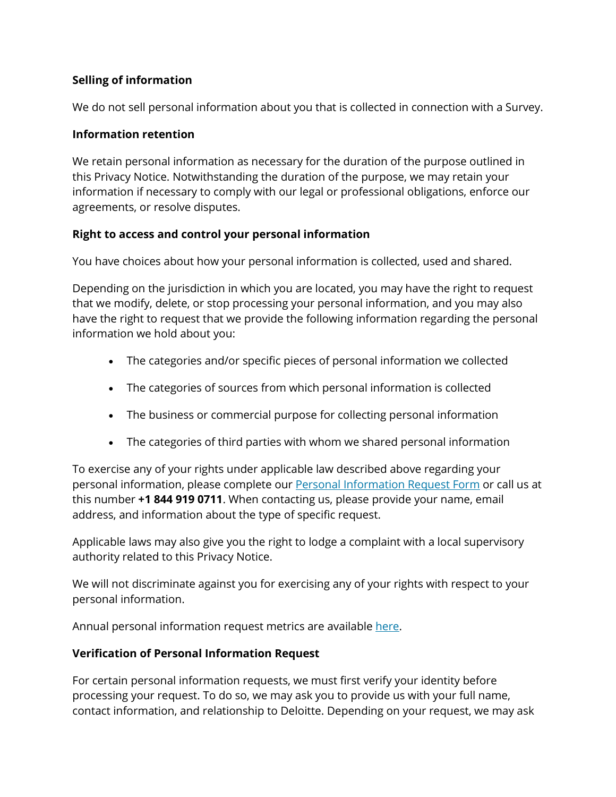# **Selling of information**

We do not sell personal information about you that is collected in connection with a Survey.

## **Information retention**

We retain personal information as necessary for the duration of the purpose outlined in this Privacy Notice. Notwithstanding the duration of the purpose, we may retain your information if necessary to comply with our legal or professional obligations, enforce our agreements, or resolve disputes.

## **Right to access and control your personal information**

You have choices about how your personal information is collected, used and shared.

Depending on the jurisdiction in which you are located, you may have the right to request that we modify, delete, or stop processing your personal information, and you may also have the right to request that we provide the following information regarding the personal information we hold about you:

- The categories and/or specific pieces of personal information we collected
- The categories of sources from which personal information is collected
- The business or commercial purpose for collecting personal information
- The categories of third parties with whom we shared personal information

To exercise any of your rights under applicable law described above regarding your personal information, please complete our **[Personal Information Request Form](https://datasubject.deloitte.com/)** or call us at this number **+1 844 919 0711**. When contacting us, please provide your name, email address, and information about the type of specific request.

Applicable laws may also give you the right to lodge a complaint with a local supervisory authority related to this Privacy Notice.

We will not discriminate against you for exercising any of your rights with respect to your personal information.

Annual personal information request metrics are available [here.](https://preview2.deloitte.com/content/dam/Deloitte/us/Documents/about-deloitte/us-about-consumer-personal-information-request-metrics.pdf)

# **Verification of Personal Information Request**

For certain personal information requests, we must first verify your identity before processing your request. To do so, we may ask you to provide us with your full name, contact information, and relationship to Deloitte. Depending on your request, we may ask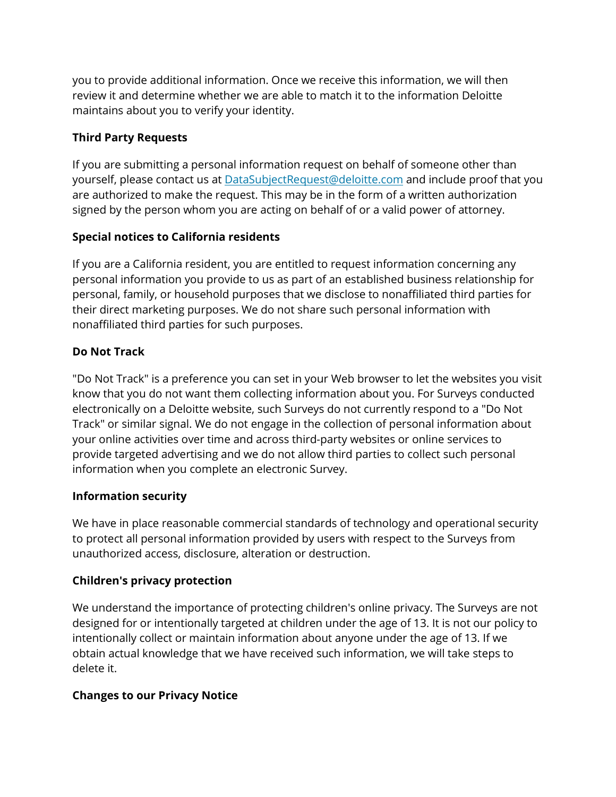you to provide additional information. Once we receive this information, we will then review it and determine whether we are able to match it to the information Deloitte maintains about you to verify your identity.

# **Third Party Requests**

If you are submitting a personal information request on behalf of someone other than yourself, please contact us at **[DataSubjectRequest@deloitte.com](mailto:DataSubjectRequest@deloitte.com)** and include proof that you are authorized to make the request. This may be in the form of a written authorization signed by the person whom you are acting on behalf of or a valid power of attorney.

# **Special notices to California residents**

If you are a California resident, you are entitled to request information concerning any personal information you provide to us as part of an established business relationship for personal, family, or household purposes that we disclose to nonaffiliated third parties for their direct marketing purposes. We do not share such personal information with nonaffiliated third parties for such purposes.

# **Do Not Track**

"Do Not Track" is a preference you can set in your Web browser to let the websites you visit know that you do not want them collecting information about you. For Surveys conducted electronically on a Deloitte website, such Surveys do not currently respond to a "Do Not Track" or similar signal. We do not engage in the collection of personal information about your online activities over time and across third-party websites or online services to provide targeted advertising and we do not allow third parties to collect such personal information when you complete an electronic Survey.

# **Information security**

We have in place reasonable commercial standards of technology and operational security to protect all personal information provided by users with respect to the Surveys from unauthorized access, disclosure, alteration or destruction.

# **Children's privacy protection**

We understand the importance of protecting children's online privacy. The Surveys are not designed for or intentionally targeted at children under the age of 13. It is not our policy to intentionally collect or maintain information about anyone under the age of 13. If we obtain actual knowledge that we have received such information, we will take steps to delete it.

# **Changes to our Privacy Notice**